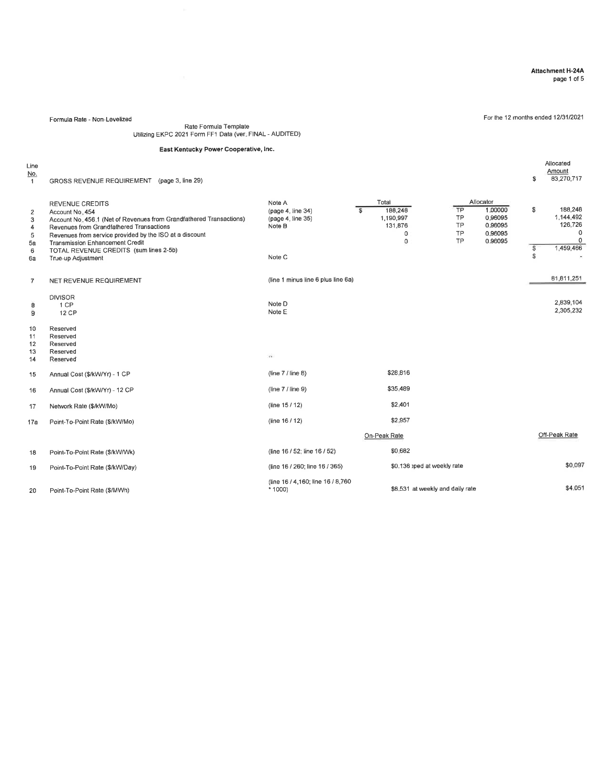#### Attachment H-24A page 1 of 5

Allocated Amount \$ 83.270,717

For the 12 months ended 12/31/2021

Formula Rate - Non-Levelized

# Rate Formula Template<br>Utilizing EKPC 2021 Form FF1 Data (ver. FINAL - AUDITED)

#### East Kentucky Power Cooperative, lnc.

Line

No.<br>1 GROSS REVENUE REOUIREMENT (page 3, line 29)

| 2<br>3<br>4<br>5<br>5a<br>6<br>6a | <b>REVENUE CREDITS</b><br>Account No. 454<br>Account No. 456.1 (Net of Revenues from Grandfathered Transactions)<br>Revenues from Grandfathered Transactions<br>Revenues from service provided by the ISO at a discount<br><b>Transmission Enhancement Credit</b><br>TOTAL REVENUE CREDITS (sum lines 2-5b)<br>True-up Adjustment | Note A<br>(page 4, line 34)<br>(page 4, line 35)<br>Note B<br>Note C | Total<br>$\mathbb{S}$ | 188,248<br>1,190,997<br>131,876<br>0<br>$\mathbf 0$ | TP<br><b>TP</b><br>TP<br>TP<br>TP | Allocator<br>1.00000<br>0.96095<br>0.96095<br>0.96095<br>0.96095 | S.<br>188,248<br>1.144.492<br>126,726<br>$\mathbf 0$<br>0<br>1,459,466<br>\$<br>S. |
|-----------------------------------|-----------------------------------------------------------------------------------------------------------------------------------------------------------------------------------------------------------------------------------------------------------------------------------------------------------------------------------|----------------------------------------------------------------------|-----------------------|-----------------------------------------------------|-----------------------------------|------------------------------------------------------------------|------------------------------------------------------------------------------------|
| $\overline{7}$                    | NET REVENUE REQUIREMENT                                                                                                                                                                                                                                                                                                           | (line 1 minus line 6 plus line 6a)                                   |                       |                                                     |                                   |                                                                  | 81,811,251                                                                         |
| 8<br>$\overline{9}$               | <b>DIVISOR</b><br>1 CP<br>12 CP                                                                                                                                                                                                                                                                                                   | Note D<br>Note E                                                     |                       |                                                     |                                   |                                                                  | 2,839,104<br>2,305,232                                                             |
| 10<br>11<br>12<br>13<br>14        | Reserved<br>Reserved<br>Reserved<br>Reserved<br>Reserved                                                                                                                                                                                                                                                                          | $\mathcal{C}(\mathcal{C})$                                           |                       |                                                     |                                   |                                                                  |                                                                                    |
| 15                                | Annual Cost (\$/kW/Yr) - 1 CP                                                                                                                                                                                                                                                                                                     | (line $7$ / line 8)                                                  |                       | \$28,816                                            |                                   |                                                                  |                                                                                    |
| 16                                | Annual Cost (\$/kW/Yr) - 12 CP                                                                                                                                                                                                                                                                                                    | (line $7/$ line $9$ )                                                |                       | \$35,489                                            |                                   |                                                                  |                                                                                    |
| 17                                | Network Rate (\$/kW/Mo)                                                                                                                                                                                                                                                                                                           | (line 15/12)                                                         |                       | \$2,401                                             |                                   |                                                                  |                                                                                    |
| 17a                               | Point-To-Point Rate (\$/kW/Mo)                                                                                                                                                                                                                                                                                                    | (line 16 / 12)                                                       |                       | \$2.957                                             |                                   |                                                                  |                                                                                    |
|                                   |                                                                                                                                                                                                                                                                                                                                   |                                                                      | On-Peak Rate          |                                                     |                                   |                                                                  | Off-Peak Rate                                                                      |
| 18                                | Point-To-Point Rate (\$/kW/Wk)                                                                                                                                                                                                                                                                                                    | (line 16 / 52; line 16 / 52)                                         |                       | \$0.682                                             |                                   |                                                                  |                                                                                    |
| 19                                | Point-To-Point Rate (\$/kW/Day)                                                                                                                                                                                                                                                                                                   | (line 16 / 260; line 16 / 365)                                       |                       | \$0.136 pped at weekly rate                         |                                   |                                                                  | \$0.097                                                                            |
| 20                                | Point-To-Point Rate (\$/MWh)                                                                                                                                                                                                                                                                                                      | (line 16 / 4,160; line 16 / 8,760)<br>$*1000$                        |                       | \$8,531 at weekly and daily rate                    |                                   |                                                                  | \$4.051                                                                            |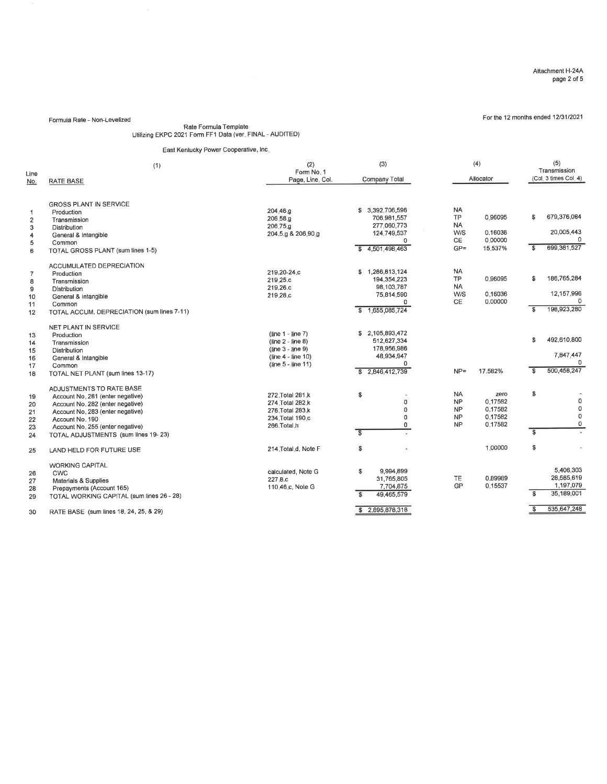Formula Rate - Non-Levelized **Example 2013** For the 12 months ended 12/31/2021

# Rate Fomula Template Utilizing EKPC 2021 Form FF1 Data (ver. FINAL - AUDITED)

### East Kentucky Power Cooperative, lnc.

| Line<br>No.                                        | (1)<br>RATE BASE                                                                                                                                                                                                                   | (2)<br>Form No. 1<br>Page, Line, Col.                                                                       | (3)<br>Company Total                                                                         |                                                               | (4)<br>Allocator                                 |                               | (5)<br>Transmission<br>(Col. 3 times Col. 4)                      |
|----------------------------------------------------|------------------------------------------------------------------------------------------------------------------------------------------------------------------------------------------------------------------------------------|-------------------------------------------------------------------------------------------------------------|----------------------------------------------------------------------------------------------|---------------------------------------------------------------|--------------------------------------------------|-------------------------------|-------------------------------------------------------------------|
| $\mathbf{I}$<br>$\overline{c}$<br>3<br>4<br>5<br>6 | <b>GROSS PLANT IN SERVICE</b><br>Production<br>Transmission<br>Distribution<br>General & Intangible<br>Common<br>TOTAL GROSS PLANT (sum lines 1-5)                                                                                 | 204.46.g<br>206.58.g<br>206.75.g<br>204.5.g & 206.90.g                                                      | 3,392,706,596<br>S.<br>706,981,557<br>277.060.773<br>124,749,537<br>0<br>4,501,498,463<br>s. | <b>NA</b><br><b>TP</b><br><b>NA</b><br>W/S<br>CE<br>$GP =$    | 0.96095<br>0.16036<br>0.00000<br>15.537%         | \$<br>S.                      | 679,376,064<br>20,005,443<br>0<br>699,381,527                     |
| $\overline{7}$<br>8<br>9<br>10<br>11<br>12         | ACCUMULATED DEPRECIATION<br>Production<br>Transmission<br>Distribution<br>General & Intangible<br>Common<br>TOTAL ACCUM, DEPRECIATION (sum lines 7-11)                                                                             | 219.20-24.c<br>219.25.c<br>219.26.c<br>219.28.c                                                             | \$1,286,813,124<br>194,354,223<br>98,103,787<br>75,814,590<br>0<br>1,655,085,724             | <b>NA</b><br>TP<br><b>NA</b><br>W/S<br>CE                     | 0.96095<br>0.16036<br>0.00000                    | \$<br>S                       | 186,765,284<br>12,157,996<br>$\Omega$<br>198,923,280              |
| 13<br>14<br>15<br>16<br>17<br>18                   | NET PLANT IN SERVICE<br>Production<br>Transmission<br>Distribution<br>General & Intangible<br>Common<br>TOTAL NET PLANT (sum lines 13-17)                                                                                          | $(line 1 - line 7)$<br>$(line 2 - line 8)$<br>(line 3 - line 9)<br>(line 4 - line 10)<br>(line 5 - line 11) | 2,105,893,472<br>s.<br>512,627,334<br>178,956,986<br>48,934,947<br>0<br>2,846,412,739<br>\$. | $NP =$                                                        | 17.582%                                          | S.<br>$\overline{\mathbf{s}}$ | 492,610,800<br>7,847,447<br>n<br>500,458,247                      |
| 19<br>20<br>21<br>22<br>23<br>24                   | ADJUSTMENTS TO RATE BASE<br>Account No. 281 (enter negative)<br>Account No. 282 (enter negative)<br>Account No. 283 (enter negative)<br>Account No. 190<br>Account No. 255 (enter negative)<br>TOTAL ADJUSTMENTS (sum lines 19-23) | 272. Total 281.k<br>274. Total 282.k<br>276. Total 283.k<br>234. Total 190.c<br>266.Total.h                 | \$<br>0<br>0<br>0<br>0<br>$\overline{\mathbf{s}}$                                            | <b>NA</b><br><b>NP</b><br><b>NP</b><br><b>NP</b><br><b>NP</b> | zero<br>0.17582<br>0.17582<br>0.17582<br>0.17582 | \$<br>$\overline{\mathbf{s}}$ | 0<br>$\mathbf 0$<br>0<br>0                                        |
| 25                                                 | LAND HELD FOR FUTURE USE                                                                                                                                                                                                           | 214.Total.d. Note F                                                                                         | ī,<br>\$                                                                                     |                                                               | 1.00000                                          | \$                            |                                                                   |
| 26<br>27<br>28<br>29                               | <b>WORKING CAPITAL</b><br>CWC<br>Materials & Supplies<br>Prepayments (Account 165)<br>TOTAL WORKING CAPITAL (sum lines 26 - 28)                                                                                                    | calculated, Note G<br>227.8.c<br>110.46 c, Note G                                                           | s.<br>9.994.899<br>31,765,805<br>7,704,875<br>\$.<br>49,465,579<br>\$2,895,878,318           | <b>TE</b><br>GP                                               | 0.89989<br>0.15537                               | S<br>S.                       | 5.406.303<br>28,585,619<br>1,197,079<br>35,189,001<br>535,647,248 |
| 30                                                 | RATE BASE (sum lines 18, 24, 25, & 29)                                                                                                                                                                                             |                                                                                                             |                                                                                              |                                                               |                                                  |                               |                                                                   |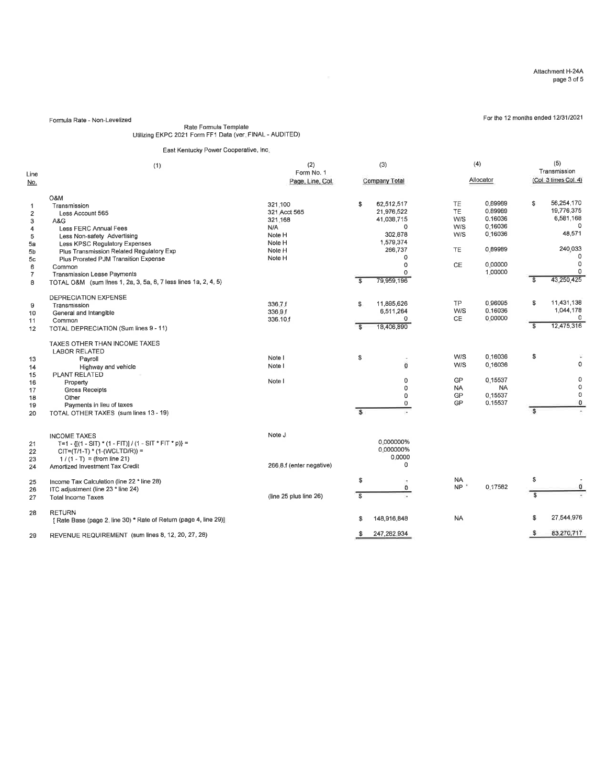For the 12 months ended 12/31/2021

Formula Rate - Non-Levelized

# Rate Formula Templale Utilizing EKPC 2021 Form FFI Data (ver. FINAL - AUDITED)

East Kentucky Power Cooperative, lnc.

| Line<br><u>No.</u>                                                                                        | (1)                                                                                                                                                                                                                                                                                                                                            | (2)<br>Form No. 1<br>Page, Line, Col.                                             | (3)<br>Company Total                                                                                                                                  | (4)<br>Allocator                                                                                                                                       | (5)<br>Transmission<br>(Col. 3 times Col. 4)                                                             |
|-----------------------------------------------------------------------------------------------------------|------------------------------------------------------------------------------------------------------------------------------------------------------------------------------------------------------------------------------------------------------------------------------------------------------------------------------------------------|-----------------------------------------------------------------------------------|-------------------------------------------------------------------------------------------------------------------------------------------------------|--------------------------------------------------------------------------------------------------------------------------------------------------------|----------------------------------------------------------------------------------------------------------|
| $\overline{1}$<br>$\overline{2}$<br>3<br>4<br>5<br>5a<br>5b<br>5 <sub>c</sub><br>6<br>$\overline{7}$<br>8 | O&M<br>Transmission<br>Less Account 565<br>A&G<br>Less FERC Annual Fees<br>Less Non-safety Advertising<br>Less KPSC Regulatory Expenses<br>Plus Transmission Related Regulatory Exp<br>Plus Prorated PJM Transition Expense<br>Common<br><b>Transmission Lease Payments</b><br>TOTAL O&M (sum lines 1, 2a, 3, 5a, 6, 7 less lines 1a, 2, 4, 5) | 321.100<br>321 Acct 565<br>321.168<br>N/A<br>Note H<br>Note H<br>Note H<br>Note H | \$<br>62,512,517<br>21,976,522<br>41,038,715<br>O<br>302,878<br>1,579,374<br>266,737<br>$\Omega$<br>$\Omega$<br>79,959,196<br>$\overline{\mathbf{s}}$ | <b>TE</b><br>0.89989<br>TE<br>0.89989<br>W/S<br>0.16036<br>W/S<br>0.16036<br>W/S<br>0.16036<br><b>TE</b><br>0.89989<br><b>CE</b><br>0.00000<br>1.00000 | 56,254,170<br>s.<br>19,776,375<br>6,581,168<br>48,571<br>240,033<br>$\mathbf 0$<br>0<br>43,250,425<br>\$ |
| 9<br>10<br>11<br>12                                                                                       | DEPRECIATION EXPENSE<br>Transmission<br>General and Intangible<br>Common<br>TOTAL DEPRECIATION (Sum lines 9 - 11)                                                                                                                                                                                                                              | 336.7.f<br>336.9.f<br>336.10.f                                                    | 11,895,626<br>\$<br>6,511,264<br>$\Omega$<br>18,406,890<br>$\mathbf{s}$                                                                               | 0.96095<br><b>TP</b><br>W/S<br>0.16036<br>CE.<br>0.00000                                                                                               | 11,431,138<br>£<br>1,044,178<br>0<br>12,475,316<br>S.                                                    |
| 13<br>14<br>15<br>16<br>17<br>18<br>19<br>20                                                              | TAXES OTHER THAN INCOME TAXES<br><b>LABOR RELATED</b><br>Payroll<br>Highway and vehicle<br>PLANT RELATED<br>Property<br><b>Gross Receipts</b><br>Other<br>Payments in lieu of taxes<br>TOTAL OTHER TAXES (sum lines 13 - 19)                                                                                                                   | Note I<br>Note I<br>Note I                                                        | \$<br>$\ddot{\mathbf{0}}$<br>$\Omega$<br>0<br>0<br>$\mathbf 0$<br>$\mathbf{s}$                                                                        | 0.16036<br>W/S<br>W/S<br>0.16036<br>0.15537<br>GP<br><b>NA</b><br><b>NA</b><br>GP<br>0.15537<br>GP<br>0.15537                                          | \$<br>$\circ$<br>0<br>0<br>0<br>$\circ$<br>s                                                             |
| 21<br>22<br>23<br>24                                                                                      | <b>INCOME TAXES</b><br>T=1 - $\{[(1 - S)T)^*(1 - F]T\}/(1 - S]T * F]T * p$ =<br>$CIT=(T/1-T)$ * (1-(WCLTD/R)) =<br>$1/(1 - T) = (from line 21)$<br>Amortized Investment Tax Credit                                                                                                                                                             | Note J<br>266.8.f (enter negative)                                                | 0.000000%<br>0.000000%<br>0.0000<br>$\Omega$                                                                                                          |                                                                                                                                                        |                                                                                                          |
| 25<br>26<br>27                                                                                            | Income Tax Calculation (line 22 * line 28)<br>ITC adjustment (line 23 * line 24)<br><b>Total Income Taxes</b>                                                                                                                                                                                                                                  | (line 25 plus line 26)                                                            | \$<br>O<br>$\overline{\mathbf{s}}$                                                                                                                    | NA<br>NP<br>0.17582                                                                                                                                    | \$<br>$^{\circ}$<br>$\overline{\mathbf{3}}$                                                              |
| 28                                                                                                        | <b>RETURN</b><br>[ Rate Base (page 2, line 30) * Rate of Return (page 4, line 29)]                                                                                                                                                                                                                                                             |                                                                                   | 148,916,848<br>\$                                                                                                                                     | <b>NA</b>                                                                                                                                              | 27,544,976<br>S<br>83,270,717                                                                            |
| 29                                                                                                        | REVENUE REQUIREMENT (sum lines 8, 12, 20, 27, 28)                                                                                                                                                                                                                                                                                              |                                                                                   | 247,282,934<br>S.                                                                                                                                     |                                                                                                                                                        | \$                                                                                                       |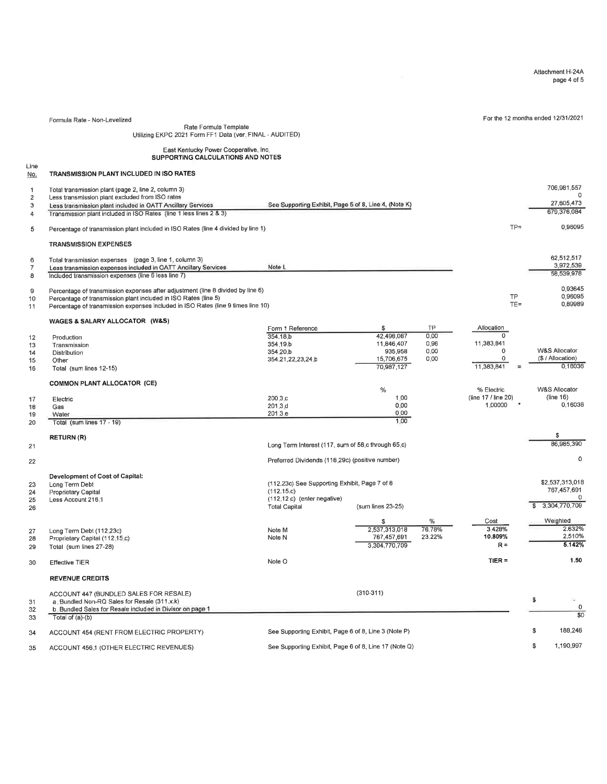Attachment H-244 page 4 of 5

For the 12 months ended 12/31/2021

Rate Formula Template Utilizing EKPC 2021 F otm FFI Data (ver. FINAL - AUDITED)

East Kenlucky Power Cooperalive, lnc. SUPPORTING CALCULATIONS AND NOTES

Line No. TRANSMISSION PLANT INCLUDED IN ISO RATES

Formula Rate - Non-Levelized

| <u>.</u>       |                                                                                   |                                                       |                   |        |                     |    |                          |
|----------------|-----------------------------------------------------------------------------------|-------------------------------------------------------|-------------------|--------|---------------------|----|--------------------------|
| 1              | Total transmission plant (page 2, line 2, column 3)                               |                                                       |                   |        |                     |    | 706.981.557              |
| $\mathbf 2$    | Less transmission plant excluded from ISO rates                                   |                                                       |                   |        |                     |    |                          |
| 3              | Less transmission plant included in OATT Ancillary Services                       | See Supporting Exhibit, Page 5 of 8, Line 4, (Note K) |                   |        |                     |    | 27,605,473               |
| 4              | Transmission plant included in ISO Rates (line 1 less lines 2 & 3)                |                                                       |                   |        |                     |    | 679.376,084              |
|                |                                                                                   |                                                       |                   |        | $TP =$              |    | 0.96095                  |
| 5              | Percentage of transmission plant included in ISO Rates (line 4 divided by line 1) |                                                       |                   |        |                     |    |                          |
|                | <b>TRANSMISSION EXPENSES</b>                                                      |                                                       |                   |        |                     |    |                          |
| 6              | Total transmission expenses (page 3, line 1, column 3)                            |                                                       |                   |        |                     |    | 62,512,517               |
| $\overline{7}$ | Less transmission expenses included in OATT Ancillary Services                    | Note L                                                |                   |        |                     |    | 3,972,539                |
| 8              | Included transmission expenses (line 6 less line 7)                               |                                                       |                   |        |                     |    | 58,539,978               |
| 9              | Percentage of transmission expenses after adjustment (line 8 divided by line 6)   |                                                       |                   |        |                     |    | 0.93645                  |
| 10             | Percentage of transmission plant included in ISO Rates (line 5)                   |                                                       |                   |        | <b>TP</b>           |    | 0.96095                  |
| 11             | Percentage of transmission expenses included in ISO Rates (line 9 times line 10)  |                                                       |                   |        | $TE =$              |    | 0.89989                  |
|                |                                                                                   |                                                       |                   |        |                     |    |                          |
|                | WAGES & SALARY ALLOCATOR (W&S)                                                    |                                                       | \$                | TP     | Allocation          |    |                          |
|                |                                                                                   | Form 1 Reference                                      | 42.498.087        | 0.00   | $\Omega$            |    |                          |
| 12             | Production                                                                        | 354.18.b                                              |                   | 0,96   | 11,383,841          |    |                          |
| 13             | Transmission                                                                      | 354.19.b                                              | 11,846,407        |        | $\Omega$            |    | <b>W&amp;S Allocator</b> |
| 14             | Distribution                                                                      | 354.20.b                                              | 935,958           | 0.00   |                     |    |                          |
| 15             | Other                                                                             | 354.21.22,23.24 b                                     | 15,706,675        | 0.00   | 0                   |    | (\$ / Allocation)        |
| 16             | Total (sum lines 12-15)                                                           |                                                       | 70,987,127        |        | 11,383,841          |    | 0.16036                  |
|                | <b>COMMON PLANT ALLOCATOR (CE)</b>                                                |                                                       |                   |        |                     |    |                          |
|                |                                                                                   |                                                       | %                 |        | % Electric          |    | <b>W&amp;S Allocator</b> |
| 17             | Electric                                                                          | 200.3.c                                               | 1.00              |        | (line 17 / line 20) |    | (line 16)                |
| 16             | Gas                                                                               | 201.3d                                                | 0.00              |        | 1,00000             |    | 0.16036                  |
| 19             | Water                                                                             | 201.3 e                                               | 0.00              |        |                     |    |                          |
| 20             | Total (sum lines 17 - 19)                                                         |                                                       | 1.00              |        |                     |    |                          |
|                |                                                                                   |                                                       |                   |        |                     |    | \$                       |
| 21             | <b>RETURN (R)</b>                                                                 | Long Term Interest (117, sum of 58 c through 65 c)    |                   |        |                     |    | 86,985,390               |
|                |                                                                                   |                                                       |                   |        |                     |    |                          |
| 22             |                                                                                   | Preferred Dividends (118.29c) (positive number)       |                   |        |                     |    | 0                        |
|                | <b>Development of Cost of Capital:</b>                                            |                                                       |                   |        |                     |    |                          |
| 23             | Long Term Debt                                                                    | (112.23c) See Supporting Exhibit, Page 7 of 8         |                   |        |                     |    | \$2.537,313,018          |
| 24             | Proprietary Capital                                                               | (112.15.c)                                            |                   |        |                     |    | 767,457,691              |
| 25             | Less Account 216.1                                                                | (112,12,c) (enter negative)                           |                   |        |                     |    | 0                        |
| 26             |                                                                                   | <b>Total Capital</b>                                  | (sum lines 23-25) |        |                     |    | 3,304,770,709            |
|                |                                                                                   |                                                       | \$                | %      | Cost                |    | Weighted                 |
| 27             | Long Term Debt (112.23c)                                                          | Note M                                                | 2,537,313,018     | 76.78% | 3.428%              |    | 2.632%                   |
| 28             | Proprietary Capital (112.15.c)                                                    | Note N                                                | 767,457,691       | 23.22% | 10.809%             |    | 2.510%                   |
| 29             | Total (sum lines 27-28)                                                           |                                                       | 3.304.770.709     |        | $R =$               |    | 5.142%                   |
| 30             | <b>Effective TIER</b>                                                             | Note O                                                |                   |        | $TIER =$            |    | 1.50                     |
|                | <b>REVENUE CREDITS</b>                                                            |                                                       |                   |        |                     |    |                          |
|                |                                                                                   |                                                       |                   |        |                     |    |                          |
|                | ACCOUNT 447 (BUNDLED SALES FOR RESALE)                                            |                                                       | $(310-311)$       |        |                     |    |                          |
| 31             | a. Bundled Non-RQ Sales for Resale (311.x.k)                                      |                                                       |                   |        |                     | \$ | s                        |
| 32             | b. Bundled Sales for Resale included in Divisor on page 1                         |                                                       |                   |        |                     |    | 0                        |
| 33             | Total of (a)-(b)                                                                  |                                                       |                   |        |                     |    | $\overline{50}$          |
| 34             | ACCOUNT 454 (RENT FROM ELECTRIC PROPERTY)                                         | See Supporting Exhibit, Page 6 of 8, Line 3 (Note P)  |                   |        |                     | S. | 188,248                  |
| 35             | ACCOUNT 456.1 (OTHER ELECTRIC REVENUES)                                           | See Supporting Exhibit, Page 6 of 8, Line 17 (Note Q) |                   |        |                     | \$ | 1,190,997                |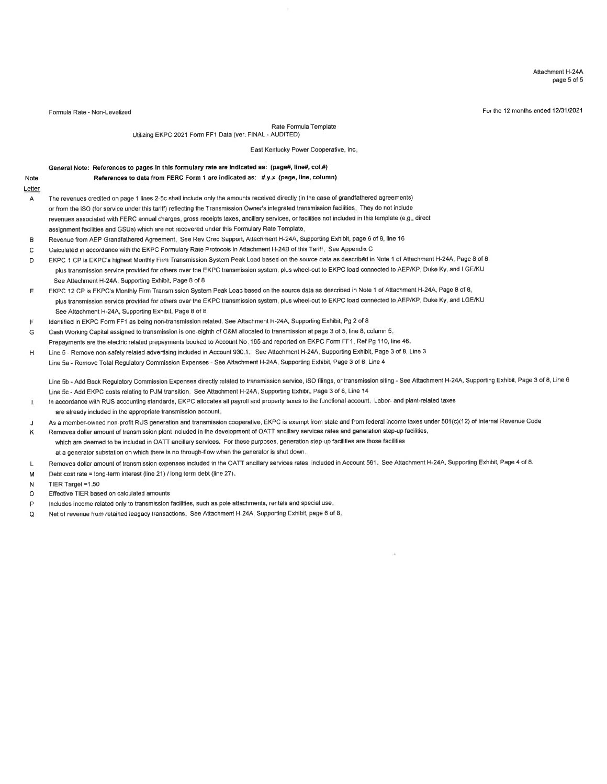Attachment H-24A page 5 of 5

Formula Rate - Non-Levelized Formula Rate - Non-Levelized Formula Rate - Non-Levelized For the 12 months ended 12/31/2021

Rate Formula Template

Utilizing EKPC 2021 Form FF1 Data (ver. FINAL - AUDITED)

East Kentucky Power Cooperative, lnc.

### Gensral Note: References to pages in this formulary rate are indicated as: (page#, line#, col.#)

References to data from FERC Form 1 are indicated as: #.y.x (page, line, column)

- Note Letter
	- A The revenues crediied on page 1 lines 2-5c shall include only lhe amounts received direclly (in the case of grandfathered agreements) or from the ISO (for service under this tariff) reflecting the Transmission Owner's integrated transmission facilities. They do not include revenues associated with FERC annual charges, gross receipts taxes, ancillary services, or facilities not included in this template (e.g., direct assignment facilities and GSUs) which are not recovered under this Formulary Rate Template.
	- Revenue from AEP Grandfathered Agreement. See Rev Cred Support, Attachment H-24A, Supporting Exhibit, page 6 of 8, line 16 B
	- Calculated in accordance with the EKPC Formulary Rate Protocols in Attachment H-248 of this Tariff. See Appendix C c
	- EKPC 1 CP is EKPC's highest Monthly Firm Transmission System Peak Load based on the source data as described in Note 1 of Attachment H-24A, Page 8 of 8, plus transmission service provided for olhers over the EKPC transmission system, plus wheel-out to EKPC load connected to AEP/KP, Duke Ky, and LGE/KU See Attachment H-24A, Supporting Exhibit, Page 8 of 8 D
	- EKPC 12 CP is EKPC'S Monthly Firm Transmission System Peak Load based on the source data as described in Note 1 of Attachment H-24A, Page 8 of I, plus transmission service provided for others over the EKPC transmission system, plus wheel-out to EKPC load connected to AEP/KP, Duke Ky, and LGE/KU See Attachment H-24A, Supporting Exhibit, Page 8 of 8 E
	- ldentified in EKPC Form FF1 as being non-transmission relaled. See Attachment H-24A, Supporling Exhibit, Pg 2 of 8 F
	- Cash Working Capital assigned to transmission is one-eighth of O&M allocated to transmission at page 3 of 5, line 8, column 5. G Prepayments are the electric related prepayments booked to Account No. 165 and reported on EKPC Form FF1, Ref Pg 110, line 46.
	- Line 5 Remove non-safety related advertising included in Account 930.1. See Attachment H-24A, Supporting Exhibit, Page 3 of 8, Line 3 H
	- Line 5a Remove Total Regulatory Commission Expenses See Attachment H-24A, Supporting Exhibit, Page 3 of 8, Line 4

Line 5b - Add Back Regulatory Commission Expenses directly related to transmission service, ISO filings, or transmission siting - See Attachment H-24A, Supporting Exhibit, Page 3 of 8, Line 6 Line 5c - Add EKPC costs relating to PJM transition. See Attachment H-24A, Supporting Exhibit, Page 3 of 8, Line 14

- ln accordance with RUS accounling standards, EKPC allocates all payroll and property taxes to the funclional account. Labor- and plant-related taxes I. are already included in the appropriate transmission account.
- As a member-owned non-profit RUS generation and transmission cooperative, EKPC is exempt from state and from federal income taxes under 501(c)(12) of Internal Revenue Code J

Removes dollar amount of transmission plant included in the development of OATT ancillary services rates and generation step-up facilities, which are deemed to be included in OATT ancillary services. For these purposes, generation step-up facilities are those facilities at a generator substation on which there is no through-flow when the generator is shut down. K

- Removes dollar amount of transmission expenses included in the OATT ancillary services rates, included in Account 561. See Attachment H-24A, Supporting Exhibit, Page 4 of 8. L
- Debt cost rate = long-term interest (line 21) / long term debt (line 27). M

TIER Target =1.50 N

- Effective TIER based on calculated amounts o
- lncludes income related only to transmission facilities, such as pole attachments, rentals and special use. P
- Net of revenue from retained leagacy transactions. See Attachment H-24A, Supporting Exhibit, page 6 of 8. o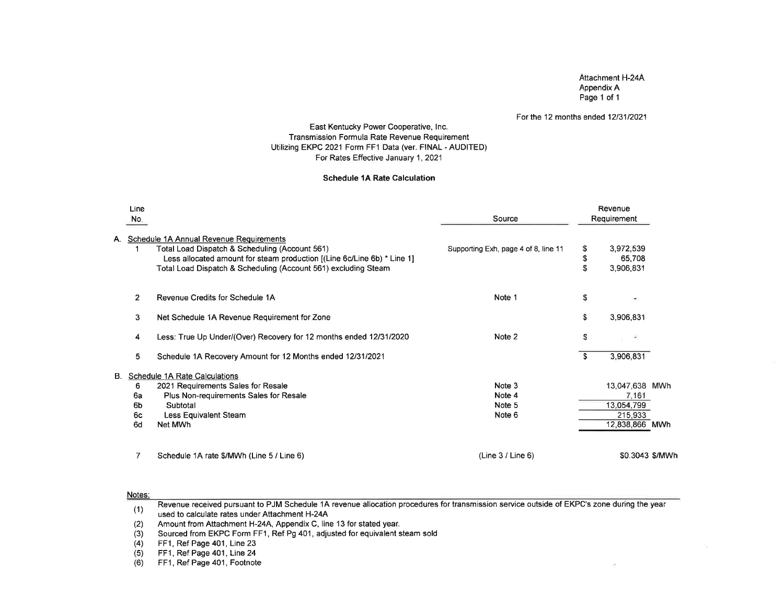### Attachment H-24AAppendix APage 1 of 'l

### For the 12 months ended 12/31/2021

### East Kentucky Power Cooperative, lnc. Transmission Formula Rate Revenue Requirement Utilizing EKPC 2021 Form FF1 Data (ver. FINAL - AUDITED)For Rates Effective January 1,2021

### Schedule 1A Rate Calculation

|    | Line<br>No.    |                                                                                                                                                                                                                                        | Source                               |                | Revenue<br>Requirement           |  |
|----|----------------|----------------------------------------------------------------------------------------------------------------------------------------------------------------------------------------------------------------------------------------|--------------------------------------|----------------|----------------------------------|--|
| Α. |                | Schedule 1A Annual Revenue Requirements<br>Total Load Dispatch & Scheduling (Account 561)<br>Less allocated amount for steam production [(Line 6c/Line 6b) * Line 1]<br>Total Load Dispatch & Scheduling (Account 561) excluding Steam | Supporting Exh, page 4 of 8, line 11 | S.<br>\$<br>\$ | 3,972,539<br>65,708<br>3,906,831 |  |
|    | $\overline{2}$ | Revenue Credits for Schedule 1A                                                                                                                                                                                                        | Note 1                               | \$             | ٠                                |  |
|    | 3              | Net Schedule 1A Revenue Requirement for Zone                                                                                                                                                                                           |                                      | \$             | 3,906,831                        |  |
|    | 4              | Less: True Up Under/(Over) Recovery for 12 months ended 12/31/2020                                                                                                                                                                     | Note 2                               | \$             |                                  |  |
|    | 5              | Schedule 1A Recovery Amount for 12 Months ended 12/31/2021                                                                                                                                                                             |                                      | <b>S</b>       | 3,906,831                        |  |
|    |                | B. Schedule 1A Rate Calculations                                                                                                                                                                                                       |                                      |                |                                  |  |
|    | 6              | 2021 Requirements Sales for Resale                                                                                                                                                                                                     | Note 3                               |                | 13,047,638 MWh                   |  |
|    | 6a             | Plus Non-requirements Sales for Resale                                                                                                                                                                                                 | Note 4                               |                | 7,161                            |  |
|    | 6b             | Subtotal                                                                                                                                                                                                                               | Note 5                               |                | 13.054.799                       |  |
|    | 6c<br>6d       | Less Equivalent Steam<br>Net MWh                                                                                                                                                                                                       | Note 6                               |                | 215,933<br>12,838,866 MWh        |  |
|    | 7              | Schedule 1A rate \$/MWh (Line 5 / Line 6)                                                                                                                                                                                              | (Line 3 / Line 6)                    |                | \$0.3043 \$/MWI                  |  |

#### Notes:

Revenue received pursuant to PJM Schedule 1A revenue allocation procedures for transmission service outside of EKPC's zone during the yearused to calculate rates under Attachment H-24A(1)

 Amount from Attachment H-24A, Appendix C, line 13 for stated year. (2)

Sourced from EKPC Form FF1, Ref Pg 401 , adjusted for equivalent steam sold(3)

FF1, Ref Page 401, Line 23(4)

 FF1, Ref Page 401, Line 24(5)

 FF1, Ref Page 401, Footnote(6)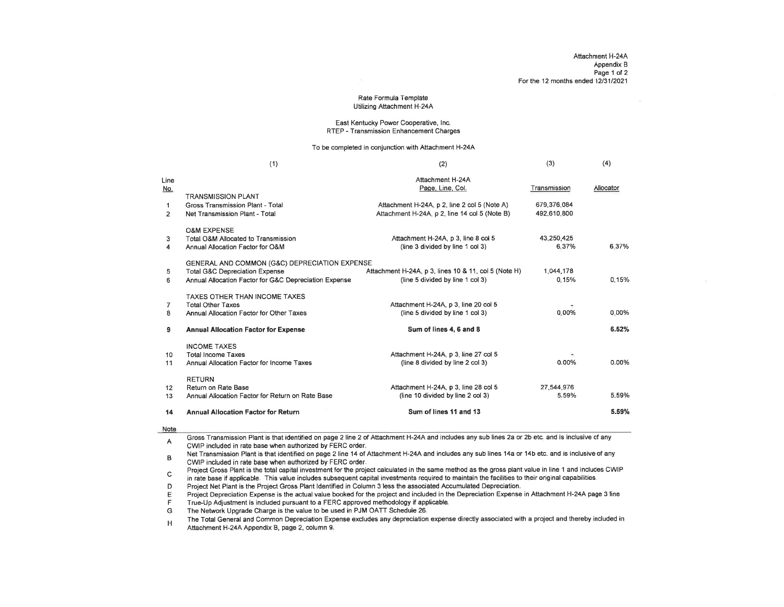#### Rate Formula TemplateUtilizing Attachment H-24A

#### East Kentucky Power Cooperative, lnc.RTEP - Transmission Enhancement Charges

To be completed in conjunction with Attachment H-24A

|                               | (1)                                                                                                                                                 | (2)                                                                                           | (3)                        | (4)       |
|-------------------------------|-----------------------------------------------------------------------------------------------------------------------------------------------------|-----------------------------------------------------------------------------------------------|----------------------------|-----------|
| Line<br><u>No.</u>            | <b>TRANSMISSION PLANT</b>                                                                                                                           | Attachment H-24A<br>Page, Line, Col.                                                          | Transmission               | Allocator |
| $\mathbf 1$<br>$\overline{2}$ | Gross Transmission Plant - Total<br>Net Transmission Plant - Total                                                                                  | Attachment H-24A, p 2, line 2 col 5 (Note A)<br>Attachment H-24A, p 2, line 14 col 5 (Note B) | 679.376.084<br>492.610.800 |           |
| 3<br>4                        | <b>O&amp;M EXPENSE</b><br>Total O&M Allocated to Transmission<br>Annual Allocation Factor for O&M                                                   | Attachment H-24A, p 3, line 8 col 5<br>(line 3 divided by line 1 col 3)                       | 43,250,425<br>6.37%        | 6.37%     |
| 5<br>6                        | GENERAL AND COMMON (G&C) DEPRECIATION EXPENSE<br><b>Total G&amp;C Depreciation Expense</b><br>Annual Allocation Factor for G&C Depreciation Expense | Attachment H-24A, p 3, lines 10 & 11, col 5 (Note H)<br>(line 5 divided by line 1 col 3)      | 1,044,178<br>0.15%         | 0.15%     |
| 7<br>8                        | <b>TAXES OTHER THAN INCOME TAXES</b><br><b>Total Other Taxes</b><br>Annual Allocation Factor for Other Taxes                                        | Attachment H-24A, p 3, line 20 col 5<br>(line 5 divided by line 1 col 3)                      | 0.00%                      | $0.00\%$  |
| 9                             | <b>Annual Allocation Factor for Expense</b>                                                                                                         | Sum of lines 4, 6 and 8                                                                       |                            | 6.52%     |
| 10<br>11                      | <b>INCOME TAXES</b><br><b>Total Income Taxes</b><br>Annual Allocation Factor for Income Taxes                                                       | Attachment H-24A, p 3, line 27 col 5<br>(line 8 divided by line 2 col 3)                      | 0.00%                      | 0.00%     |
| 12<br>13                      | <b>RETURN</b><br>Return on Rate Base<br>Annual Allocation Factor for Return on Rate Base                                                            | Attachment H-24A, p 3, line 28 col 5<br>(line 10 divided by line 2 col 3)                     | 27.544.976<br>5.59%        | 5.59%     |
| 14                            | <b>Annual Allocation Factor for Return</b>                                                                                                          | Sum of lines 11 and 13                                                                        |                            | 5.59%     |
|                               |                                                                                                                                                     |                                                                                               |                            |           |

#### Note

Gross Transmission Plant is that identified on page 2 line 2 of Aftachment H-24A and includes any sub lines 2a or 2b etc. and is inclusive of any $\overline{A}$ CWIP included in rate base when authorized by FERC order.

 Net Transmission Plant is that identified on page 2 line 14 of Attachment H-24A and includes any sub lines 14a or 14b etc. and is inclusive of anyCWP included in rate base when authorized by FERC order.B

 Project Gross Plant is the total capital investment for the project calculated in the same method as the gross plant value in line 1 and includes CWIP $\mathbf C$ in rate base if applicable. This value includes subsequent capital investments required io maintain the tacilities to their original capabilities,

Project Net Plant is the Project Gross Plant ldentified in Column 3 less the associated Accumulated Depreciation. D

Project Depreciation Expense is the actual value booked for the project and included in the Depreciation Expense in Attachment H-24A page 3 lineE

True-Up Adjustment is included pursuant to a FERC approved methodology if applicable. F

The Network Upgrade Charge is the value to be used in PJM OATT Schedule 26. G

The Total General and Common Depreciation Expense excludes any depreciation expense directly associated with a project and thereby included inAttachment H-24A Appendix B, page 2, column 9. H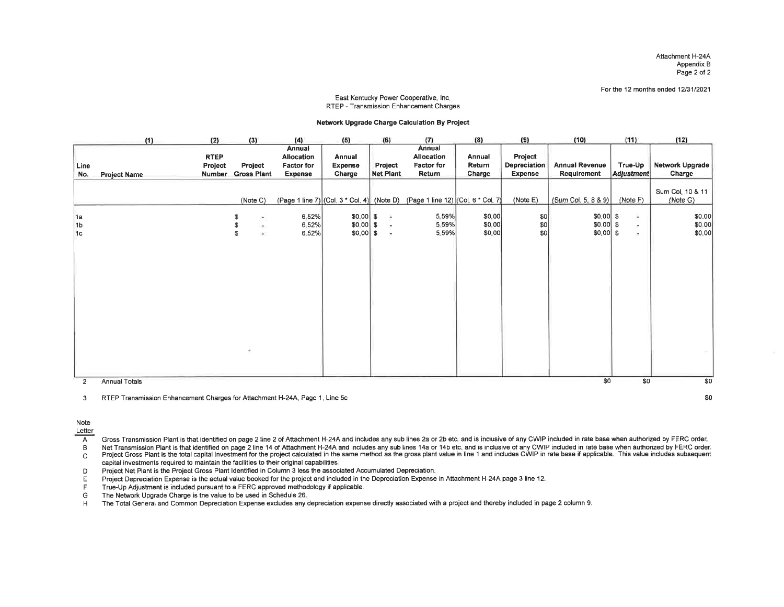Attachment H-24A Appendix BPage 2 of 2

For the 12 months ended 12/31/2021

#### East Kentucky Power Cooperative, lnc.RTEP - Transmission Enhancement Charges

#### Networt Upgrade Charge Calculation By Project

|                | (1)                 | (2)                                     | (3)                                     | (4)                                                         | (5)                                    | (6)                            | (7)                                                                           | (8)                        | (9)                                              | (10)                                    | (11)                               | (12)                         |
|----------------|---------------------|-----------------------------------------|-----------------------------------------|-------------------------------------------------------------|----------------------------------------|--------------------------------|-------------------------------------------------------------------------------|----------------------------|--------------------------------------------------|-----------------------------------------|------------------------------------|------------------------------|
| Line<br>No.    | <b>Project Name</b> | <b>RTEP</b><br>Project<br><b>Number</b> | Project<br><b>Gross Plant</b>           | Annual<br>Allocation<br><b>Factor for</b><br><b>Expense</b> | Annual<br><b>Expense</b><br>Charge     | Project<br><b>Net Plant</b>    | Annual<br>Allocation<br>Factor for<br>Return                                  | Annual<br>Return<br>Charge | Project<br><b>Depreciation</b><br><b>Expense</b> | <b>Annual Revenue</b><br>Requirement    | True-Up<br>Adjustment              | Network Upgrade<br>Charge    |
|                |                     |                                         | (Note C)                                |                                                             |                                        |                                | (Page 1 line 7) (Col. 3 * Col. 4) (Note D) (Page 1 line 12) (Col. 6 * Col. 7) |                            | (Note E)                                         | (Sum Col. 5, 8 & 9)                     | (Note F)                           | Sum Col. 10 & 11<br>(Note G) |
| 1a<br>1b<br>1c |                     |                                         | S<br>÷.<br>$\infty$<br>$\omega$ :<br>£. | 6,52%<br>6.52%<br>6.52%                                     | $$0.00$ \$<br>$$0.00$ \$<br>$$0.00$ \$ | $\equiv$<br>×<br>$\mathcal{A}$ | 5.59%<br>5.59%<br>5.59%                                                       | \$0,00<br>\$0,00<br>\$0.00 | 50 <br> \$0 <br> 30                              | $$0,00$ \$<br>$$0.00$ \$<br>$$0.00 $ \$ | $\overline{\phantom{a}}$<br>÷<br>× | \$0.00<br>\$0.00<br>\$0.00   |
|                |                     |                                         |                                         |                                                             |                                        |                                |                                                                               |                            |                                                  |                                         |                                    |                              |
| $\overline{2}$ | Annual Totals       |                                         |                                         |                                                             |                                        |                                |                                                                               |                            |                                                  | \$0                                     | \$0                                | \$0                          |

3RTEP Transmission Enhancement Charges for Attachment H-244, Page 1, Line 5c \$0

#### Note

Letter

 $\overline{A}$ Gross Transmission Plant is that identified on page 2 line 2 of Attachment H-24A and includes any sub lines 2a or 2b etc. and is inclusive of any CWIP included in rate base when authorized by FERC order.

Net Transmission Plant is that identified on page 2 line 14 of Attachment H-24A and includes any sub lines 14a or 14b etc. and is inclusive of any CWIP included in rate base when authorized by FERC order.  $\mathsf{B}$ 

Note that we have been always a line of the project calculated in the same method as the gross plant value in line 1 and includes CWIP in rate base if applicable. This value includes subsequent  $\mathtt{C}$ capital investments required to maintain the facilities to their original capabilities.<br>Project Net Plant is the Project Gross Plant Identified in Column 3 less the associated Accumulated Depreciation

Project Net Plant is the Project Gross Plant Identified in Column 3 less the associated Accumulated Depreciation.<br>
Forgiect Depreciation Expense is the actual value booked for the project and included in the Depreciation E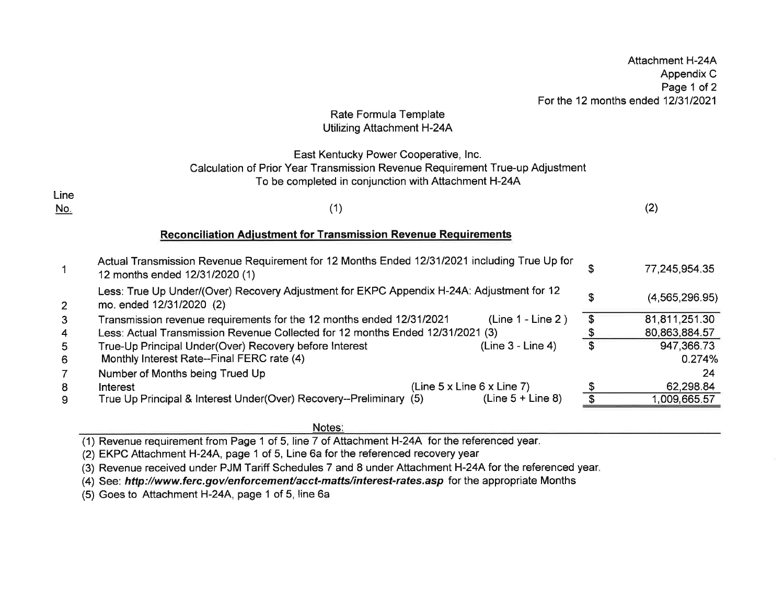# Rate Formula TemplateUtilizing Attachment H-244

## East Kentucky Power Cooperative, lnc. Calculation of Prior Year Transmission Revenue Requirement True-up AdjustmentTo be completed in conjunction with Attachment H-24A

| (2)<br>7 A T |
|--------------|
|--------------|

### Reconciliation Adjustment for Transmission Revenue Requirements

| Actual Transmission Revenue Requirement for 12 Months Ended 12/31/2021 including True Up for<br>12 months ended 12/31/2020 (1) |    | 77,245,954.35    |
|--------------------------------------------------------------------------------------------------------------------------------|----|------------------|
| Less: True Up Under/(Over) Recovery Adjustment for EKPC Appendix H-24A: Adjustment for 12<br>mo. ended 12/31/2020 (2)          | S  | (4, 565, 296.95) |
| $(Line 1 - Line 2)$<br>Transmission revenue requirements for the 12 months ended 12/31/2021                                    | \$ | 81,811,251.30    |
| Less: Actual Transmission Revenue Collected for 12 months Ended 12/31/2021 (3)                                                 |    | 80,863,884.57    |
| (Line 3 - Line 4)<br>True-Up Principal Under(Over) Recovery before Interest                                                    |    | 947,366.73       |
| Monthly Interest Rate--Final FERC rate (4)                                                                                     |    | 0.274%           |
| Number of Months being Trued Up                                                                                                |    | 24               |
| (Line 5 x Line 6 x Line 7)<br>Interest                                                                                         |    | 62,298.84        |
| True Up Principal & Interest Under(Over) Recovery--Preliminary (5)<br>$(Line 5 + Line 8)$                                      |    | ,009,665.57      |
|                                                                                                                                |    |                  |

Notes

(1) Revenue requirement from Page 1 of 5, line 7 of Attachment H-24A for the referenced year

(2) EKPC Attachment H-24A, page 1 of 5, Line 6a for the referenced recovery year

(3) Revenue received under PJM Tariff Schedules 7 and 8 under Attachment H-24A for the referenced year.

(4) See: http://www.ferc.gov/enforcement/acct-matts/interest-rates.asp for the appropriate Months

(5) Goes to Attachment H-24A, page 1 of 5, line 6a

LineNo.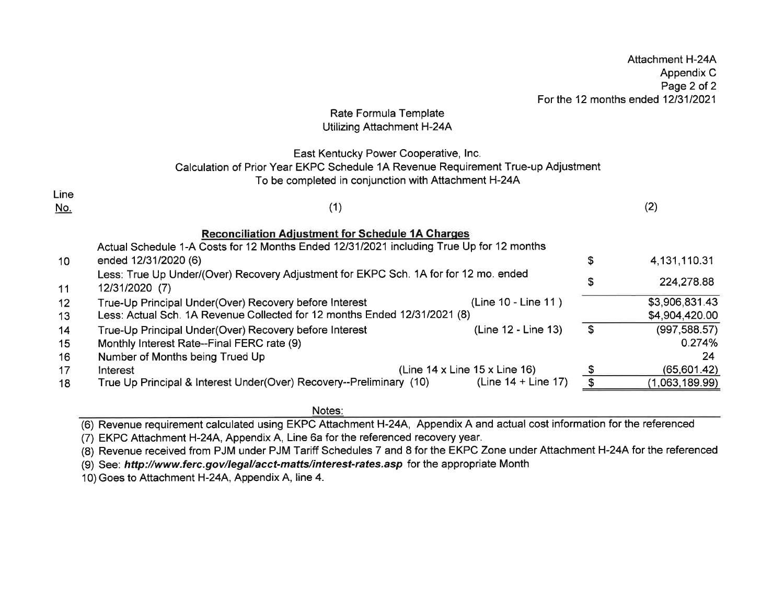|                 |                                                                                          |                                                |                | Appendix C<br>Page 2 of 2          |
|-----------------|------------------------------------------------------------------------------------------|------------------------------------------------|----------------|------------------------------------|
|                 |                                                                                          |                                                |                | For the 12 months ended 12/31/2021 |
|                 | Rate Formula Template                                                                    |                                                |                |                                    |
|                 | Utilizing Attachment H-24A                                                               |                                                |                |                                    |
|                 | East Kentucky Power Cooperative, Inc.                                                    |                                                |                |                                    |
|                 | Calculation of Prior Year EKPC Schedule 1A Revenue Requirement True-up Adjustment        |                                                |                |                                    |
|                 | To be completed in conjunction with Attachment H-24A                                     |                                                |                |                                    |
| Line            |                                                                                          |                                                |                |                                    |
| <u>No.</u>      | (1)                                                                                      |                                                |                | (2)                                |
|                 |                                                                                          |                                                |                |                                    |
|                 | <b>Reconciliation Adjustment for Schedule 1A Charges</b>                                 |                                                |                |                                    |
|                 | Actual Schedule 1-A Costs for 12 Months Ended 12/31/2021 including True Up for 12 months |                                                |                |                                    |
| 10 <sup>°</sup> | ended 12/31/2020 (6)                                                                     |                                                | \$             | 4, 131, 110. 31                    |
|                 | Less: True Up Under/(Over) Recovery Adjustment for EKPC Sch. 1A for for 12 mo. ended     |                                                | \$             | 224,278.88                         |
| 11              | 12/31/2020 (7)                                                                           |                                                |                |                                    |
| 12              | True-Up Principal Under(Over) Recovery before Interest                                   | (Line 10 - Line 11)                            |                | \$3,906,831.43                     |
| 13              | Less: Actual Sch. 1A Revenue Collected for 12 months Ended 12/31/2021 (8)                |                                                |                | \$4,904,420.00                     |
| 14              | True-Up Principal Under(Over) Recovery before Interest                                   | (Line 12 - Line 13)                            | $\mathfrak{s}$ | (997, 588.57)                      |
| 15              | Monthly Interest Rate--Final FERC rate (9)                                               |                                                |                | 0.274%                             |
| 16              | Number of Months being Trued Up                                                          |                                                |                | 24                                 |
| 17              | Interest                                                                                 | (Line $14 \times$ Line $15 \times$ Line $16$ ) | \$             | (65, 601.42)                       |
| 18              | True Up Principal & Interest Under(Over) Recovery--Preliminary (10)                      | (Line $14 +$ Line 17)                          |                | (1,063,189.99)                     |

Attachment H-24A

### Notes:

(6) Revenue requirement calculated using EKPC Attachment H-24A, Appendix A and actual cost information for the referenced

(7) EKPC Attachment H-24A, Appendix A, Line 6a for the referenced recovery year.

(8) Revenue received from PJM under PJM Tariff Schedules 7 and 8 for the EKPC Zone under Attachment H-24A for the referenced

(9) See: http://www.ferc.gov/legal/acct-matts/interesf-rafes.asp for the appropriate Month

10) Goes to Attachment H-24A, Appendix A, line 4.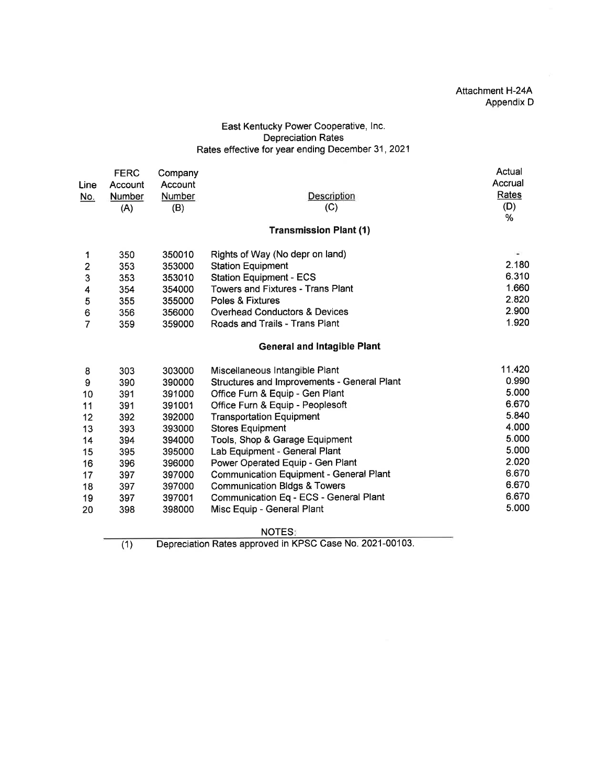### Attachment H-244 Appendix D

### East Kentucky Power Cooperative, lnc. Depreciation Rates Rates effective for year ending December 31,2021

|                         | <b>FERC</b> | Company                                  |                                                          | Actual        |
|-------------------------|-------------|------------------------------------------|----------------------------------------------------------|---------------|
| Line                    | Account     | Account                                  |                                                          | Accrual       |
| No.                     | Number      | <b>Number</b>                            | Description                                              | Rates         |
|                         | (A)         | (B)                                      | (C)                                                      | (D)           |
|                         |             |                                          |                                                          | %             |
|                         |             |                                          | <b>Transmission Plant (1)</b>                            |               |
| 1                       | 350         | 350010                                   | Rights of Way (No depr on land)                          | $\frac{1}{2}$ |
| $\overline{\mathbf{c}}$ | 353         | 353000                                   | <b>Station Equipment</b>                                 | 2.180         |
| 3                       | 353         | 353010                                   | <b>Station Equipment - ECS</b>                           | 6.310         |
| 4                       | 354         | 354000                                   | <b>Towers and Fixtures - Trans Plant</b>                 | 1.660         |
| 5                       | 355         | 355000                                   | Poles & Fixtures                                         | 2.820         |
| 6                       | 356         | <b>Overhead Conductors &amp; Devices</b> | 2.900                                                    |               |
| $\overline{7}$          | 359         | 359000                                   | Roads and Trails - Trans Plant                           | 1.920         |
|                         |             |                                          | <b>General and Intagible Plant</b>                       |               |
| 8                       | 303         | 303000                                   | Miscellaneous Intangible Plant                           | 11.420        |
| 9                       | 390         | 390000                                   | Structures and Improvements - General Plant              | 0.990         |
| 10                      | 391         | 391000                                   | Office Furn & Equip - Gen Plant                          | 5.000         |
| 11                      | 391         | 391001                                   | Office Furn & Equip - Peoplesoft                         | 6.670         |
| 12                      | 392         | 392000                                   | <b>Transportation Equipment</b>                          | 5.840         |
| 13                      | 393         | 393000                                   | <b>Stores Equipment</b>                                  | 4.000         |
| 14                      | 394         | 394000                                   | Tools, Shop & Garage Equipment                           | 5.000         |
| 15                      | 395         | 395000                                   | Lab Equipment - General Plant                            | 5.000         |
| 16                      | 396         | 396000                                   | Power Operated Equip - Gen Plant                         | 2.020         |
| 17                      | 397         | 397000                                   | <b>Communication Equipment - General Plant</b>           | 6.670         |
| 18                      | 397         | 397000                                   | <b>Communication Bldgs &amp; Towers</b>                  | 6.670         |
| 19                      | 397         | 397001                                   | Communication Eq - ECS - General Plant                   | 6.670         |
| 20                      | 398         | 398000                                   | Misc Equip - General Plant                               | 5.000         |
|                         |             |                                          | <b>NOTES:</b>                                            |               |
|                         | (1)         |                                          | Depreciation Rates approved in KPSC Case No. 2021-00103. |               |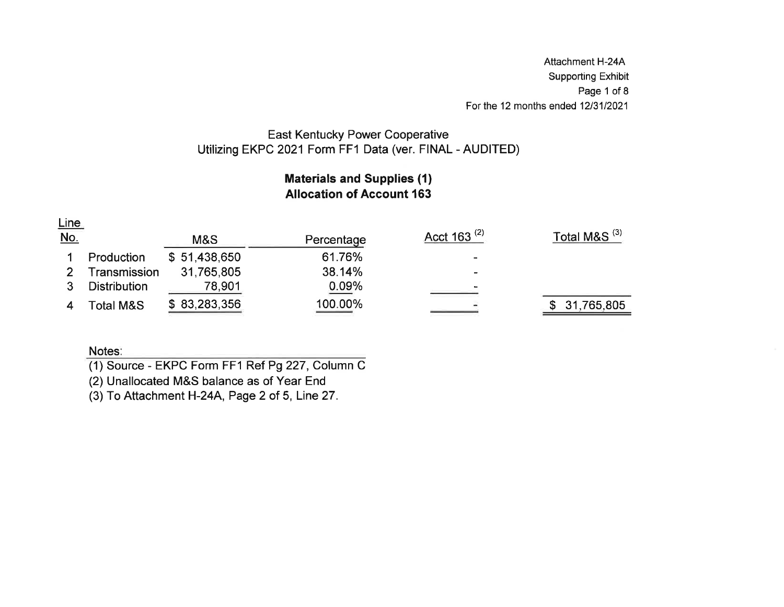Attachment H-244 Supporting Exhibit Page 1 of 8For the 12 months ended  $12/31/202<sup>2</sup>$ 

# East Kentucky Power CooperativeUtilizing EKPC 2021 Form FF1 Data (ver. FINAL - AUDITED)

# Materials and Supplies (1)Allocation of Account 163

Line

| No. |                     | M&S          | Percentage | Acct 163 <sup>(2)</sup>  | Total M&S <sup>(3)</sup> |
|-----|---------------------|--------------|------------|--------------------------|--------------------------|
|     | Production          | \$51,438,650 | 61.76%     | $\overline{\phantom{0}}$ |                          |
|     | Transmission        | 31,765,805   | 38.14%     | -                        |                          |
|     | <b>Distribution</b> | 78,901       | 0.09%      |                          |                          |
|     | Total M&S           | \$83,283,356 | 100.00%    |                          | 31,765,805               |

## Notes:

(1) Source - EKPC Form FF1 Ref P9227, Column C

(2) Unallocated M&S balance as of Year End

(3) To Attachment H-24A, Page 2 of 5, Line 27.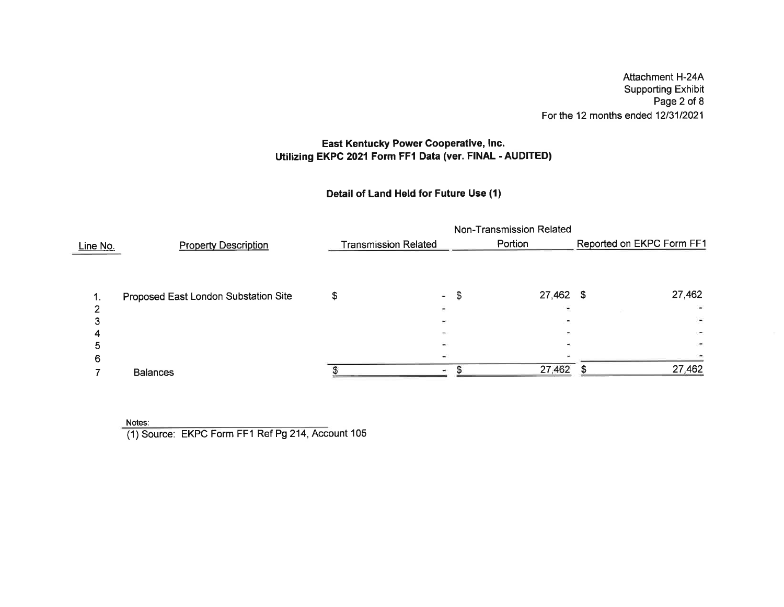Attachment H-244 Supporting Exhibit Page 2 of 8For the 12 months ended 12/31/2021

# East Kentucky Power Gooperative, lnc. Utilizing EKPC 2021 Form FF1 Data (ver. FINAL - AUDITED)

# Detail of Land Held for Future Use (1)

|                 |                                      | Non-Transmission Related |                             |    |             |                           |                          |  |  |  |  |
|-----------------|--------------------------------------|--------------------------|-----------------------------|----|-------------|---------------------------|--------------------------|--|--|--|--|
| <u>Line No.</u> | <b>Property Description</b>          |                          | <b>Transmission Related</b> |    | Portion     | Reported on EKPC Form FF1 |                          |  |  |  |  |
|                 |                                      |                          |                             |    |             |                           |                          |  |  |  |  |
|                 | Proposed East London Substation Site |                          | ÷                           | -S | $27,462$ \$ |                           | 27,462                   |  |  |  |  |
|                 |                                      |                          |                             |    |             |                           |                          |  |  |  |  |
|                 |                                      |                          |                             |    |             |                           | $\overline{\phantom{a}}$ |  |  |  |  |
|                 |                                      |                          |                             |    |             |                           |                          |  |  |  |  |
|                 |                                      |                          |                             |    |             |                           |                          |  |  |  |  |
| n               |                                      |                          |                             |    |             |                           |                          |  |  |  |  |
|                 | <b>Balances</b>                      |                          |                             |    | 27,462      |                           | 27,462                   |  |  |  |  |

Notes:

(1) Source: EKPC Form FFI Ref Pg 214, Account 105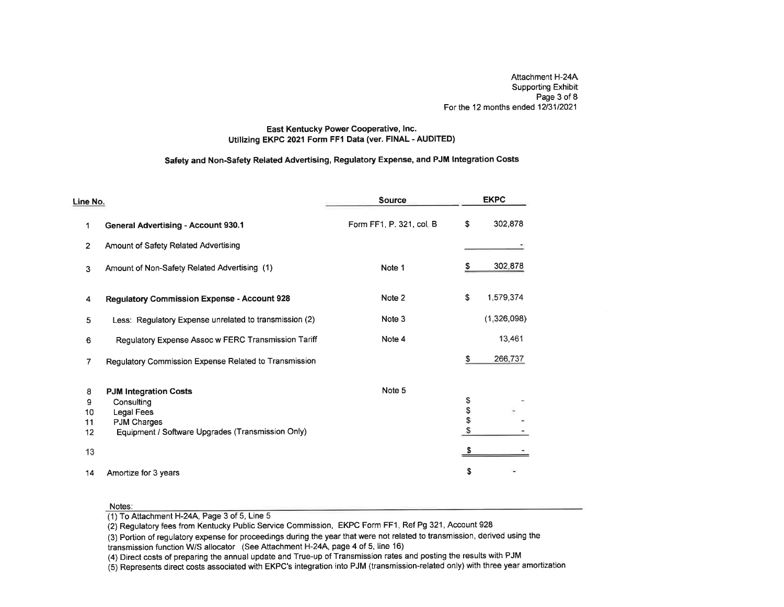Attachment H-24A Supporting Exhibit Page 3 of 8For the 12 months ended 12/31/2021  $\,$ 

### East Kentucky Power Cooperative, lnc. Utilizing EKPC2021 Form FF1 Data (ver. FINAL - AUDITED)

## Safety and Non-Safety Related Advertising, Regulatory Expense, and PJM lntegration Costs

| Line No.     |                                                        | <b>Source</b>            |      | <b>EKPC</b> |
|--------------|--------------------------------------------------------|--------------------------|------|-------------|
| 1            | <b>General Advertising - Account 930.1</b>             | Form FF1, P. 321, col. B | \$   | 302,878     |
| $\mathbf{2}$ | Amount of Safety Related Advertising                   |                          |      |             |
| 3            | Amount of Non-Safety Related Advertising (1)           | Note 1                   | S.   | 302,878     |
| 4            | <b>Regulatory Commission Expense - Account 928</b>     | Note 2                   | \$   | 1,579,374   |
| 5            | Less: Regulatory Expense unrelated to transmission (2) | Note 3                   |      | (1,326,098) |
| 6            | Regulatory Expense Assoc w FERC Transmission Tariff    | Note 4                   |      | 13,461      |
| 7            | Regulatory Commission Expense Related to Transmission  |                          | \$   | 266,737     |
| 8            | <b>PJM Integration Costs</b>                           | Note 5                   |      |             |
| 9            | Consulting                                             |                          | \$   |             |
| 10           | Legal Fees                                             |                          | \$\$ |             |
| 11           | <b>PJM Charges</b>                                     |                          |      |             |
| 12           | Equipment / Software Upgrades (Transmission Only)      |                          |      |             |
| 13           |                                                        |                          | S    |             |
| 14           | Amortize for 3 years                                   |                          | \$   |             |

#### Notes:

(1) To Attachment H-24A, Page 3 of 5, Line 5

(2) Regulatory fees from Kentucky Public Service Commission, EKPC Form FFI , Ref Pg 321 , Account 928

 (3) Portion of regulatory expense for proceedings during the year that were not related to transmission, derived using thetransmission function WS allocator (See Attachment H-24A, page 4 of 5, line 16)

(4) Direct costs of preparing the annual update and True-up of Transmission rates and posting the results with PJM

(5) Represents direct costs associated with EKPC's integration into PJM (transmission-related only) with three year amortization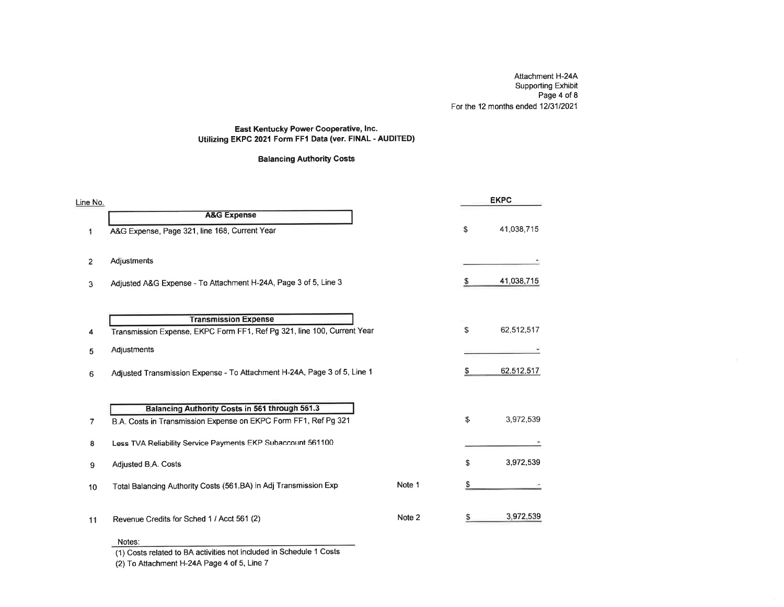Aftachment H-24A Supporting Exhibit Page 4 of 8For the 12 months ended 12/31/2021

### East Kentucky Power Cooperative, lnc. Utilizing EKPC 2021 Form FFl Data (ver. FINAL - AUDITED)

### Balancing Authority Costs

| Line No.                                                                |                                                                                                                                                                                                                                 |    | <b>EKPC</b> |
|-------------------------------------------------------------------------|---------------------------------------------------------------------------------------------------------------------------------------------------------------------------------------------------------------------------------|----|-------------|
| <b>A&amp;G Expense</b>                                                  |                                                                                                                                                                                                                                 |    |             |
| A&G Expense, Page 321, line 168, Current Year                           |                                                                                                                                                                                                                                 | \$ | 41,038,715  |
|                                                                         |                                                                                                                                                                                                                                 |    |             |
|                                                                         |                                                                                                                                                                                                                                 |    |             |
| Adjusted A&G Expense - To Attachment H-24A, Page 3 of 5, Line 3         |                                                                                                                                                                                                                                 | S  | 41,038,715  |
|                                                                         |                                                                                                                                                                                                                                 |    |             |
| <b>Transmission Expense</b>                                             |                                                                                                                                                                                                                                 |    |             |
| Transmission Expense, EKPC Form FF1, Ref Pg 321, line 100, Current Year |                                                                                                                                                                                                                                 | S  | 62,512,517  |
| Adjustments                                                             |                                                                                                                                                                                                                                 |    |             |
|                                                                         |                                                                                                                                                                                                                                 | S  | 62,512,517  |
|                                                                         |                                                                                                                                                                                                                                 |    |             |
|                                                                         |                                                                                                                                                                                                                                 |    |             |
| B.A. Costs in Transmission Expense on EKPC Form FF1, Ref Pg 321         |                                                                                                                                                                                                                                 | \$ | 3,972,539   |
|                                                                         |                                                                                                                                                                                                                                 |    |             |
|                                                                         |                                                                                                                                                                                                                                 |    |             |
|                                                                         |                                                                                                                                                                                                                                 |    | 3,972,539   |
| Total Balancing Authority Costs (561.BA) in Adj Transmission Exp        | Note 1                                                                                                                                                                                                                          | S. |             |
|                                                                         |                                                                                                                                                                                                                                 |    |             |
| Revenue Credits for Sched 1 / Acct 561 (2)                              | Note 2                                                                                                                                                                                                                          |    | 3,972,539   |
|                                                                         | Adjustments<br>Adjusted Transmission Expense - To Attachment H-24A, Page 3 of 5, Line 1<br>Balancing Authority Costs in 561 through 561.3<br>Less TVA Reliability Service Payments EKP Subaccount 561100<br>Adjusted B.A. Costs |    | \$          |

#### Notes:

(1) Costs related to BA activities not included in Schedule 1 Costs

(2) To Aftachment H-24A Page 4 of 5, Line 7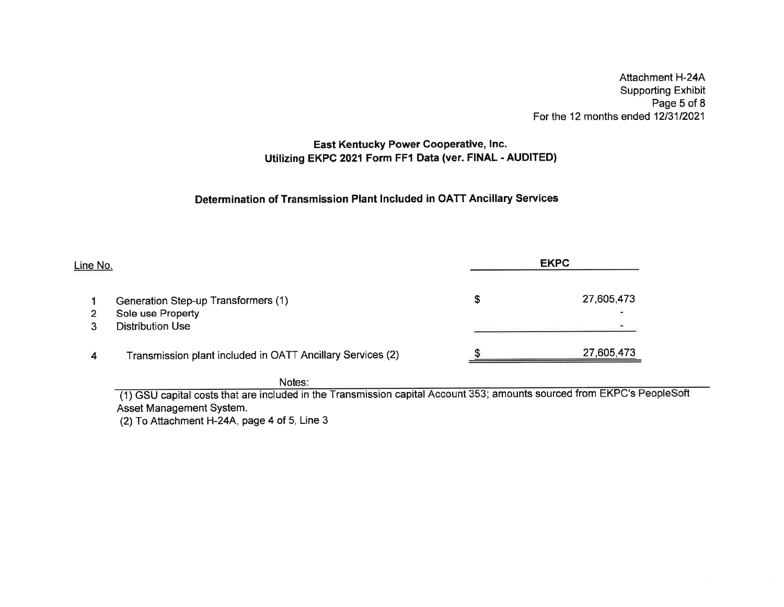Attachment H-244 Supporting Exhibit Page 5 of 8For the 12 months ended 12/31/2021

# East Kentucky Power Cooperative, lnc. Utilizing EKPC 2O21Form FFI Data (ver. FINAL - AUDITED)

## Determination of Transmission Plant lncluded in OATT Ancillary Services

| Line No. |                                                            |   | <b>EKPC</b> |
|----------|------------------------------------------------------------|---|-------------|
|          | Generation Step-up Transformers (1)                        | S | 27,605,473  |
| 2        | Sole use Property                                          |   |             |
|          | <b>Distribution Use</b>                                    |   |             |
| 4        | Transmission plant included in OATT Ancillary Services (2) |   | 27,605,473  |

Notes:

(1) GSU capital costs that are included in the Transmission capital Account 353; amounts sourced from EKPC's Asset Management System.

(2) To Attachment H-24A, page 4 of 5, Line 3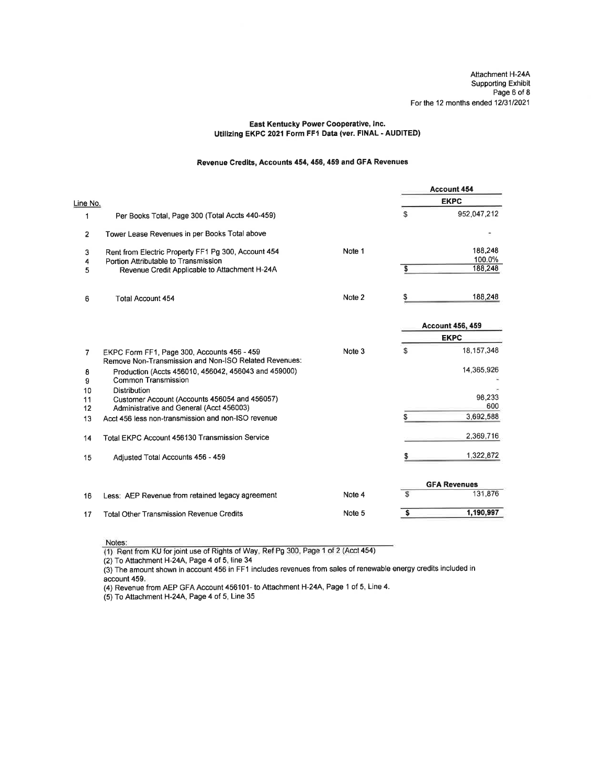Attachment H-24A Supporting Exhibit Page 6 of 8 For the 12 months ended 12/31/2021

### East Kentucky Power Cooperative, lnc. Utilizing EKPC 2021 Form FFI Data (ver. FINAL - AUDITED)

### Revenue Credits, Accounts 454, 456,459 and GFA Revenues

|          |                                                                                                      |        |    | <b>Account 454</b>      |
|----------|------------------------------------------------------------------------------------------------------|--------|----|-------------------------|
| Line No. |                                                                                                      |        |    | <b>EKPC</b>             |
| 1        | Per Books Total, Page 300 (Total Accts 440-459)                                                      |        | S  | 952,047,212             |
| 2        | Tower Lease Revenues in per Books Total above                                                        |        |    |                         |
| 3        | Rent from Electric Property FF1 Pg 300, Account 454                                                  | Note 1 |    | 188,248                 |
| 4        | Portion Attributable to Transmission                                                                 |        |    | 100.0%<br>188,248       |
| 5        | Revenue Credit Applicable to Attachment H-24A                                                        |        | S  |                         |
| 6        | <b>Total Account 454</b>                                                                             | Note 2 | S  | 188,248                 |
|          |                                                                                                      |        |    | <b>Account 456, 459</b> |
|          |                                                                                                      |        |    | <b>EKPC</b>             |
| 7        | EKPC Form FF1, Page 300, Accounts 456 - 459<br>Remove Non-Transmission and Non-ISO Related Revenues: | Note 3 | \$ | 18,157,348              |
| 8<br>9   | Production (Accts 456010, 456042, 456043 and 459000)<br><b>Common Transmission</b>                   |        |    | 14,365,926              |
| 10       | <b>Distribution</b>                                                                                  |        |    |                         |
| 11       | Customer Account (Accounts 456054 and 456057)                                                        |        |    | 98,233<br>600           |
| 12       | Administrative and General (Acct 456003)                                                             |        |    |                         |
| 13       | Acct 456 less non-transmission and non-ISO revenue                                                   |        | S  | 3,692,588               |
| 14       | Total EKPC Account 456130 Transmission Service                                                       |        |    | 2,369,716               |
| 15       | Adjusted Total Accounts 456 - 459                                                                    |        |    | 1,322,872               |
|          |                                                                                                      |        |    | <b>GFA Revenues</b>     |
| 16       | Less: AEP Revenue from retained legacy agreement                                                     | Note 4 | Ŝ  | 131,876                 |
| 17       | <b>Total Other Transmission Revenue Credits</b>                                                      | Note 5 | \$ | 1,190,997               |

Notes:<br>(1) Rent from KU for joint use of Rights of Way, Ref Pg 300, Page 1 of 2 (Acct 454)

(2) To Attachment H-24A, Page 4 of 5, line 34

(3) The amount shown in account 456 in FF1 includes revenues from sales of renewable energy credits included in account 459.

(4) Revenue from AEP GFA Account 456101- to Attachment H-24A, Page 1 of 5, Line 4.

(5) To Attachment H-24A, Page 4 of 5, Line 35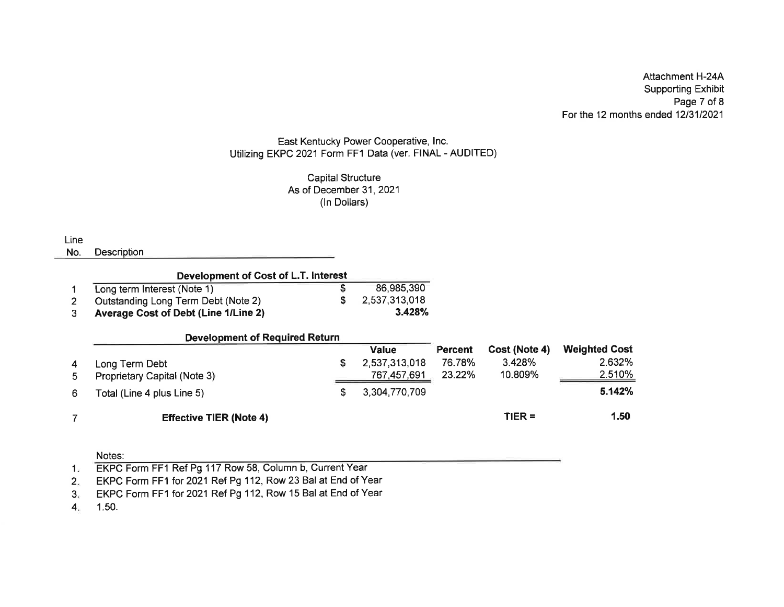Attachment H-244 Supporting Exhibit Page 7 of 8For the 12 months ended 12/31/2021

### East Kentucky Power Cooperative, lnc. Utilizing EKPC 2021 Form FF1 Data (ver. FINAL - AUDITED)

### Capital StructureAs of December 31, 2021  $\,$ (ln Dollars)

**Line** 

No. **Description** 

| Development of Cost of L.T. Interest        |  |               |  |  |  |  |  |  |  |
|---------------------------------------------|--|---------------|--|--|--|--|--|--|--|
| Long term Interest (Note 1)                 |  | 86,985,390    |  |  |  |  |  |  |  |
| Outstanding Long Term Debt (Note 2)         |  | 2,537,313,018 |  |  |  |  |  |  |  |
| <b>Average Cost of Debt (Line 1/Line 2)</b> |  | 3.428%        |  |  |  |  |  |  |  |

|    | <b>Development of Required Return</b> |    |               |         |               |                      |
|----|---------------------------------------|----|---------------|---------|---------------|----------------------|
|    |                                       |    | <b>Value</b>  | Percent | Cost (Note 4) | <b>Weighted Cost</b> |
|    | Long Term Debt                        | S. | 2,537,313,018 | 76.78%  | 3.428%        | 2.632%               |
| 5. | Proprietary Capital (Note 3)          |    | 767,457,691   | 23.22%  | 10.809%       | 2.510%               |
| 6. | Total (Line 4 plus Line 5)            |    | 3,304,770,709 |         |               | 5.142%               |
|    | <b>Effective TIER (Note 4)</b>        |    |               |         | $TIER =$      | 1.50                 |

### Notes:

1.50.4

<sup>1.</sup> EKPC Form FF1 Ref Pg 117 Row 58, Column b, Current Year

EKPC Form FF1 for 2021 Ref Pg 112, Row 23 Bal at End of Year 2

EKPC Form FF1 for 2021 Ref Pg 112, Row 15 Bal at End of Year 3